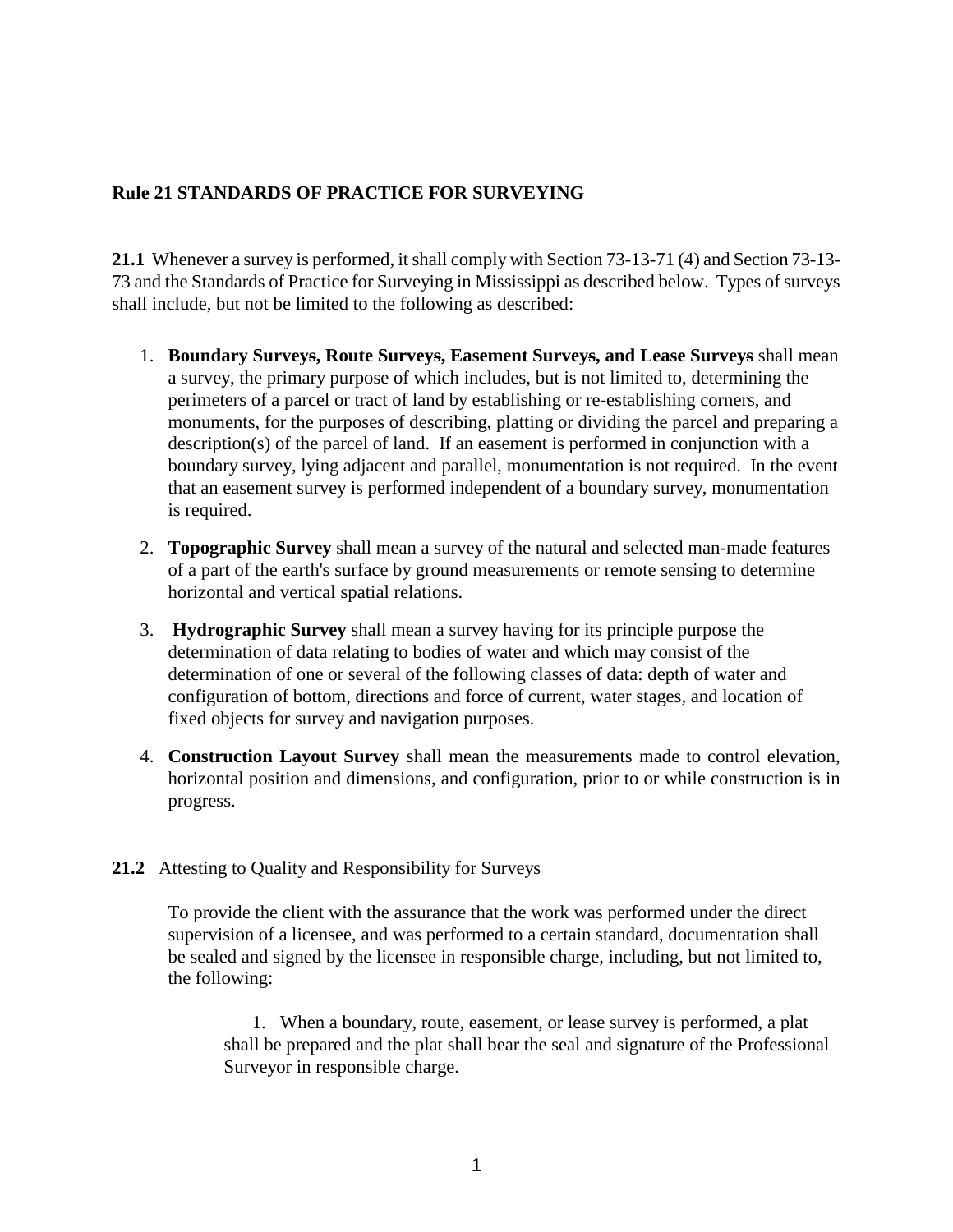## **Rule 21 STANDARDS OF PRACTICE FOR SURVEYING**

**21.1** Whenever a survey is performed, it shall comply with Section 73-13-71 (4) and Section 73-13- 73 and the Standards of Practice for Surveying in Mississippi as described below. Types of surveys shall include, but not be limited to the following as described:

- 1. **Boundary Surveys, Route Surveys, Easement Surveys, and Lease Surveys** shall mean a survey, the primary purpose of which includes, but is not limited to, determining the perimeters of a parcel or tract of land by establishing or re-establishing corners, and monuments, for the purposes of describing, platting or dividing the parcel and preparing a description(s) of the parcel of land. If an easement is performed in conjunction with a boundary survey, lying adjacent and parallel, monumentation is not required. In the event that an easement survey is performed independent of a boundary survey, monumentation is required.
- 2. **Topographic Survey** shall mean a survey of the natural and selected man-made features of a part of the earth's surface by ground measurements or remote sensing to determine horizontal and vertical spatial relations.
- 3. **Hydrographic Survey** shall mean a survey having for its principle purpose the determination of data relating to bodies of water and which may consist of the determination of one or several of the following classes of data: depth of water and configuration of bottom, directions and force of current, water stages, and location of fixed objects for survey and navigation purposes.
- 4. **Construction Layout Survey** shall mean the measurements made to control elevation, horizontal position and dimensions, and configuration, prior to or while construction is in progress.

## **21.2** Attesting to Quality and Responsibility for Surveys

To provide the client with the assurance that the work was performed under the direct supervision of a licensee, and was performed to a certain standard, documentation shall be sealed and signed by the licensee in responsible charge, including, but not limited to, the following:

1. When a boundary, route, easement, or lease survey is performed, a plat shall be prepared and the plat shall bear the seal and signature of the Professional Surveyor in responsible charge.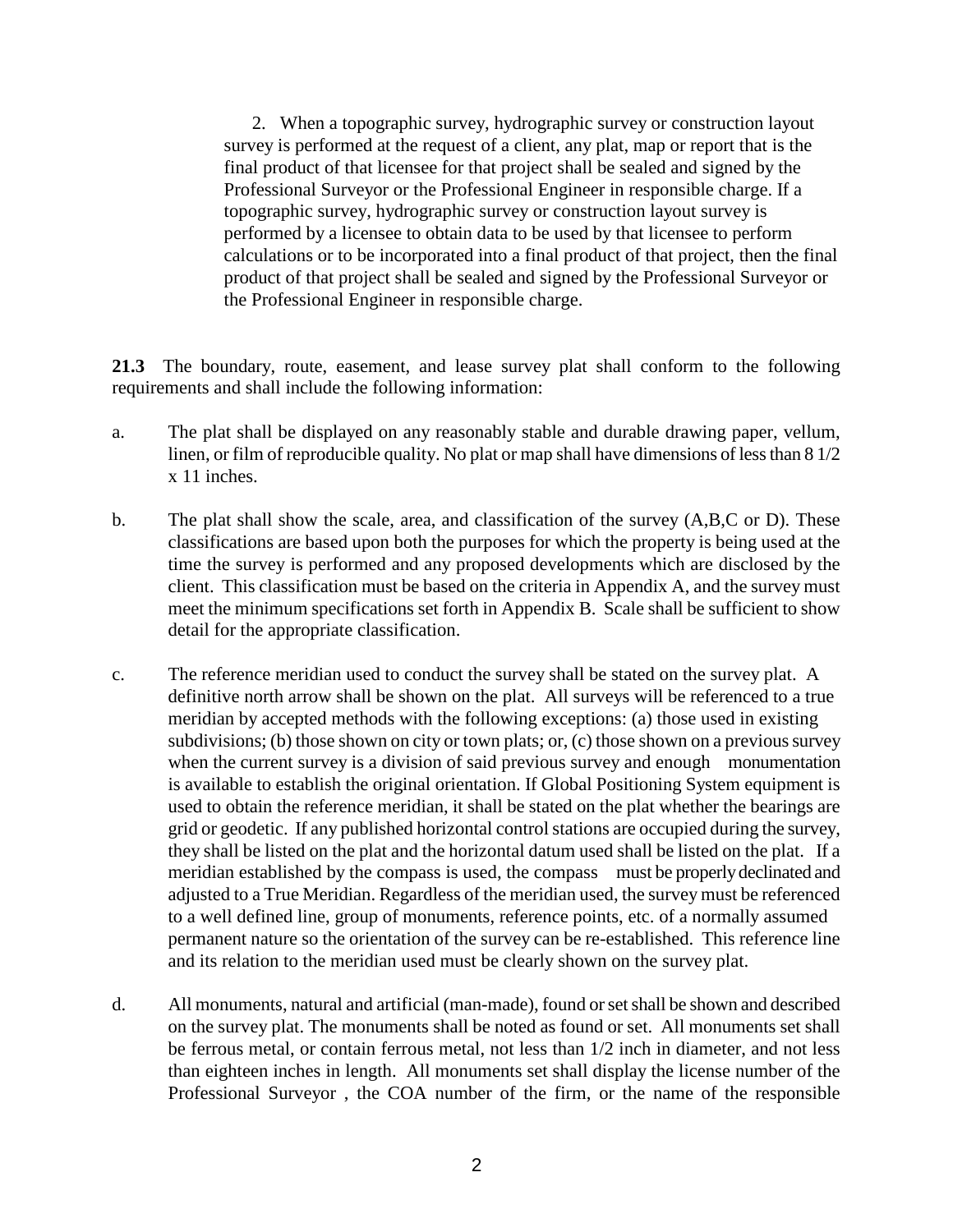2. When a topographic survey, hydrographic survey or construction layout survey is performed at the request of a client, any plat, map or report that is the final product of that licensee for that project shall be sealed and signed by the Professional Surveyor or the Professional Engineer in responsible charge. If a topographic survey, hydrographic survey or construction layout survey is performed by a licensee to obtain data to be used by that licensee to perform calculations or to be incorporated into a final product of that project, then the final product of that project shall be sealed and signed by the Professional Surveyor or the Professional Engineer in responsible charge.

**21.3** The boundary, route, easement, and lease survey plat shall conform to the following requirements and shall include the following information:

- a. The plat shall be displayed on any reasonably stable and durable drawing paper, vellum, linen, or film of reproducible quality. No plat or map shall have dimensions of less than 8 1/2 x 11 inches.
- b. The plat shall show the scale, area, and classification of the survey (A,B,C or D). These classifications are based upon both the purposes for which the property is being used at the time the survey is performed and any proposed developments which are disclosed by the client. This classification must be based on the criteria in Appendix A, and the survey must meet the minimum specifications set forth in Appendix B. Scale shall be sufficient to show detail for the appropriate classification.
- c. The reference meridian used to conduct the survey shall be stated on the survey plat. A definitive north arrow shall be shown on the plat. All surveys will be referenced to a true meridian by accepted methods with the following exceptions: (a) those used in existing subdivisions; (b) those shown on city or town plats; or, (c) those shown on a previous survey when the current survey is a division of said previous survey and enough monumentation is available to establish the original orientation. If Global Positioning System equipment is used to obtain the reference meridian, it shall be stated on the plat whether the bearings are grid or geodetic. If any published horizontal control stations are occupied during the survey, they shall be listed on the plat and the horizontal datum used shall be listed on the plat. If a meridian established by the compass is used, the compass must be properly declinated and adjusted to a True Meridian. Regardless of the meridian used, the survey must be referenced to a well defined line, group of monuments, reference points, etc. of a normally assumed permanent nature so the orientation of the survey can be re-established. This reference line and its relation to the meridian used must be clearly shown on the survey plat.
- d. All monuments, natural and artificial (man-made), found or set shall be shown and described on the survey plat. The monuments shall be noted as found or set. All monuments set shall be ferrous metal, or contain ferrous metal, not less than 1/2 inch in diameter, and not less than eighteen inches in length. All monuments set shall display the license number of the Professional Surveyor , the COA number of the firm, or the name of the responsible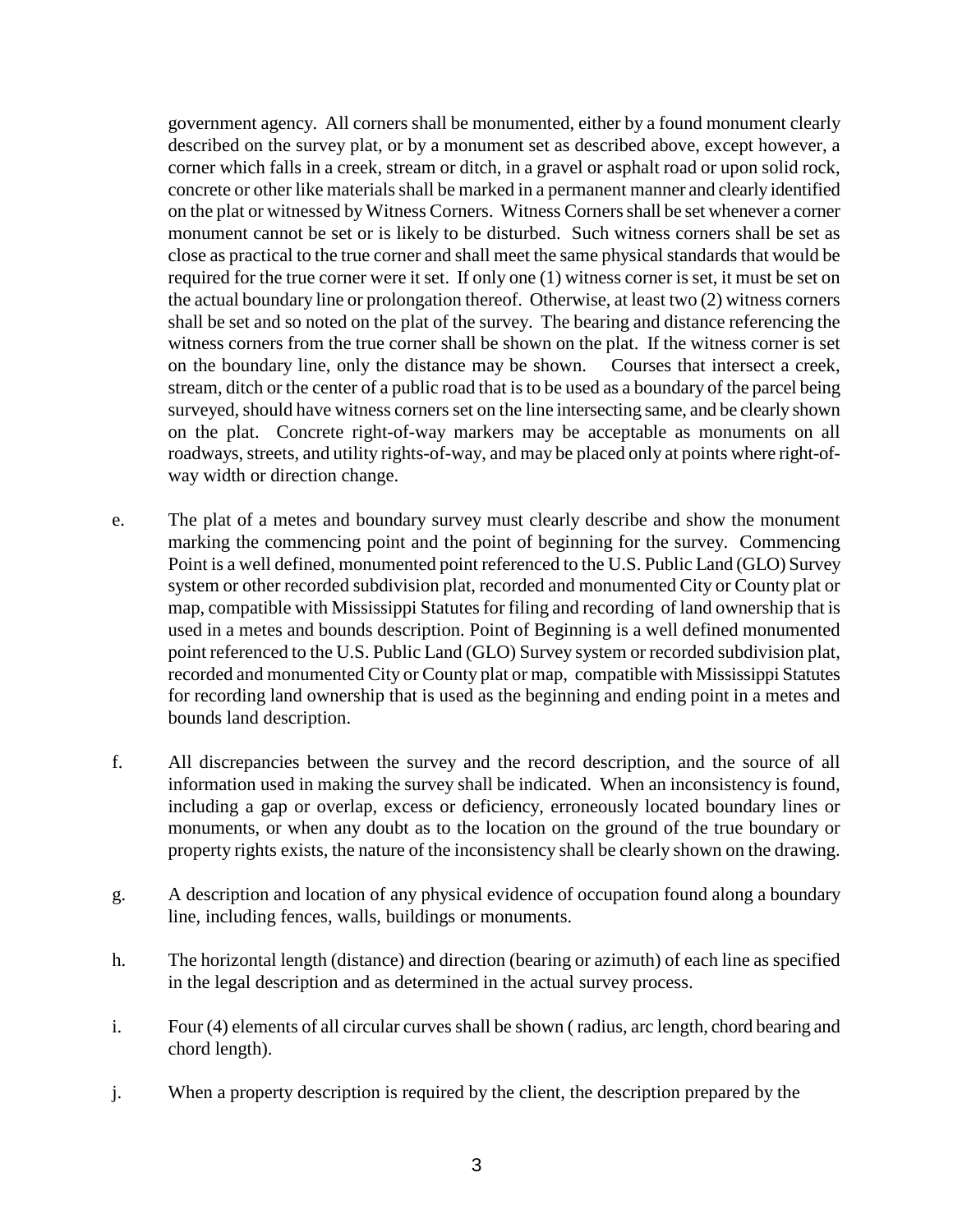government agency. All corners shall be monumented, either by a found monument clearly described on the survey plat, or by a monument set as described above, except however, a corner which falls in a creek, stream or ditch, in a gravel or asphalt road or upon solid rock, concrete or other like materials shall be marked in a permanent manner and clearly identified on the plat or witnessed by Witness Corners. Witness Corners shall be set whenever a corner monument cannot be set or is likely to be disturbed. Such witness corners shall be set as close as practical to the true corner and shall meet the same physical standards that would be required for the true corner were it set. If only one (1) witness corner is set, it must be set on the actual boundary line or prolongation thereof. Otherwise, at least two (2) witness corners shall be set and so noted on the plat of the survey. The bearing and distance referencing the witness corners from the true corner shall be shown on the plat. If the witness corner is set on the boundary line, only the distance may be shown. Courses that intersect a creek, stream, ditch or the center of a public road that is to be used as a boundary of the parcel being surveyed, should have witness corners set on the line intersecting same, and be clearly shown on the plat. Concrete right-of-way markers may be acceptable as monuments on all roadways, streets, and utility rights-of-way, and may be placed only at points where right-ofway width or direction change.

- e. The plat of a metes and boundary survey must clearly describe and show the monument marking the commencing point and the point of beginning for the survey. Commencing Point is a well defined, monumented point referenced to the U.S. Public Land (GLO) Survey system or other recorded subdivision plat, recorded and monumented City or County plat or map, compatible with Mississippi Statutes for filing and recording of land ownership that is used in a metes and bounds description. Point of Beginning is a well defined monumented point referenced to the U.S. Public Land (GLO) Survey system or recorded subdivision plat, recorded and monumented City or County plat or map, compatible with Mississippi Statutes for recording land ownership that is used as the beginning and ending point in a metes and bounds land description.
- f. All discrepancies between the survey and the record description, and the source of all information used in making the survey shall be indicated. When an inconsistency is found, including a gap or overlap, excess or deficiency, erroneously located boundary lines or monuments, or when any doubt as to the location on the ground of the true boundary or property rights exists, the nature of the inconsistency shall be clearly shown on the drawing.
- g. A description and location of any physical evidence of occupation found along a boundary line, including fences, walls, buildings or monuments.
- h. The horizontal length (distance) and direction (bearing or azimuth) of each line as specified in the legal description and as determined in the actual survey process.
- i. Four (4) elements of all circular curves shall be shown ( radius, arc length, chord bearing and chord length).
- j. When a property description is required by the client, the description prepared by the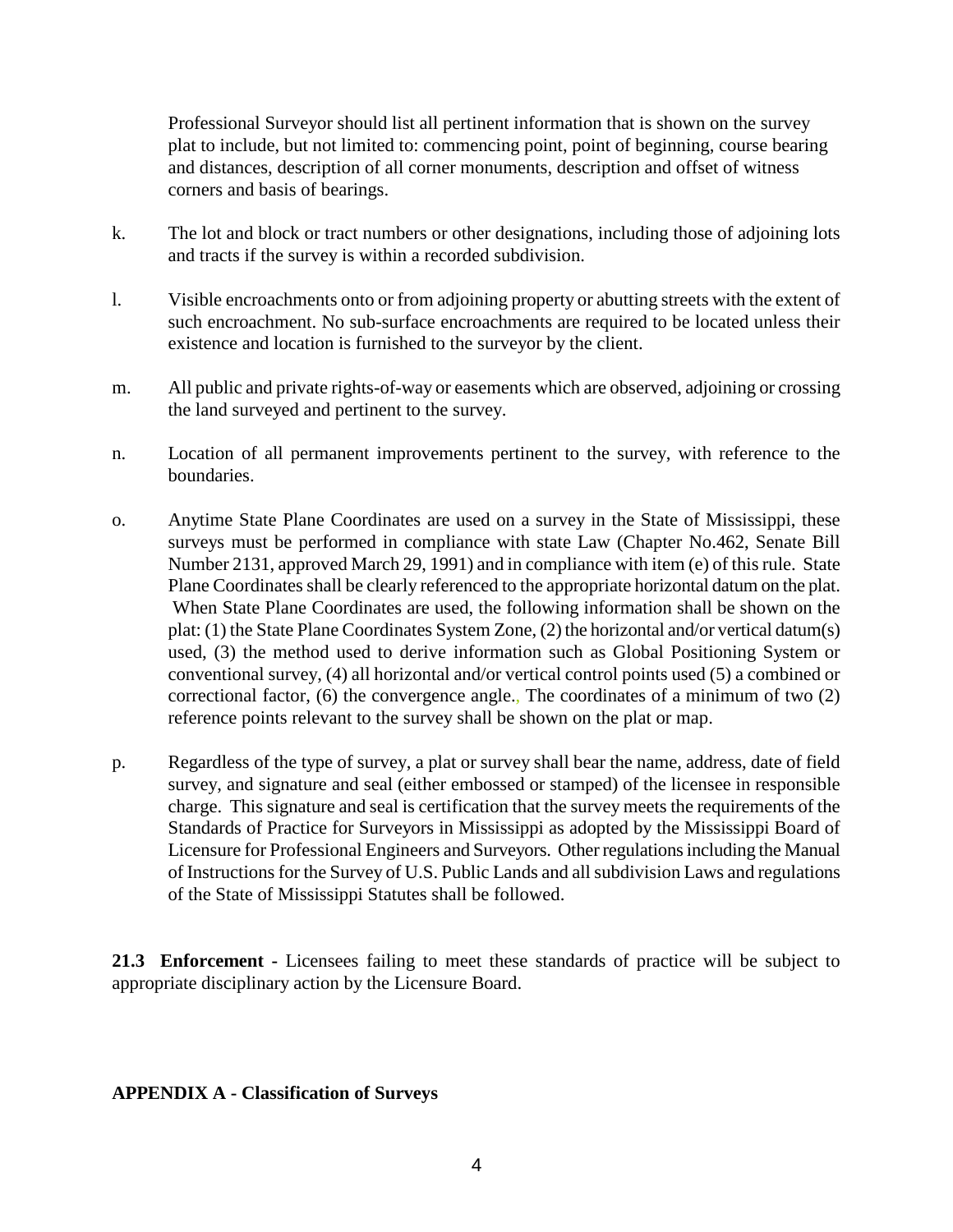Professional Surveyor should list all pertinent information that is shown on the survey plat to include, but not limited to: commencing point, point of beginning, course bearing and distances, description of all corner monuments, description and offset of witness corners and basis of bearings.

- k. The lot and block or tract numbers or other designations, including those of adjoining lots and tracts if the survey is within a recorded subdivision.
- l. Visible encroachments onto or from adjoining property or abutting streets with the extent of such encroachment. No sub-surface encroachments are required to be located unless their existence and location is furnished to the surveyor by the client.
- m. All public and private rights-of-way or easements which are observed, adjoining or crossing the land surveyed and pertinent to the survey.
- n. Location of all permanent improvements pertinent to the survey, with reference to the boundaries.
- o. Anytime State Plane Coordinates are used on a survey in the State of Mississippi, these surveys must be performed in compliance with state Law (Chapter No.462, Senate Bill Number 2131, approved March 29, 1991) and in compliance with item (e) of this rule. State Plane Coordinates shall be clearly referenced to the appropriate horizontal datum on the plat. When State Plane Coordinates are used, the following information shall be shown on the plat: (1) the State Plane Coordinates System Zone, (2) the horizontal and/or vertical datum(s) used, (3) the method used to derive information such as Global Positioning System or conventional survey, (4) all horizontal and/or vertical control points used (5) a combined or correctional factor, (6) the convergence angle., The coordinates of a minimum of two (2) reference points relevant to the survey shall be shown on the plat or map.
- p. Regardless of the type of survey, a plat or survey shall bear the name, address, date of field survey, and signature and seal (either embossed or stamped) of the licensee in responsible charge. This signature and seal is certification that the survey meets the requirements of the Standards of Practice for Surveyors in Mississippi as adopted by the Mississippi Board of Licensure for Professional Engineers and Surveyors. Other regulations including the Manual of Instructions for the Survey of U.S. Public Lands and all subdivision Laws and regulations of the State of Mississippi Statutes shall be followed.

**21.3 Enforcement -** Licensees failing to meet these standards of practice will be subject to appropriate disciplinary action by the Licensure Board.

## **APPENDIX A - Classification of Surveys**